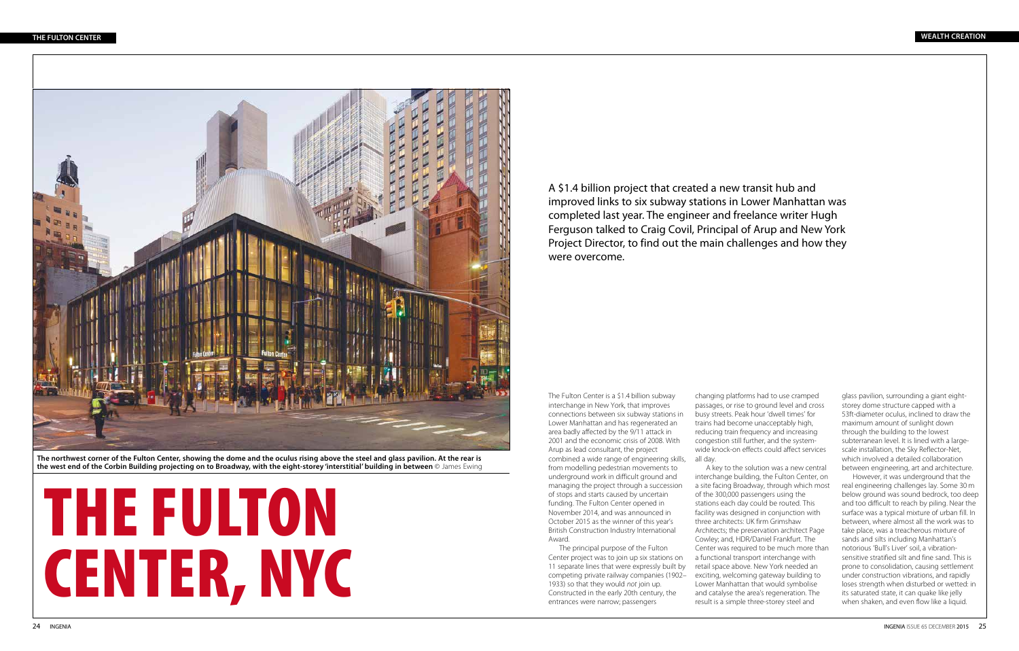A \$1.4 billion project that created a new transit hub and improved links to six subway stations in Lower Manhattan was completed last year. The engineer and freelance writer Hugh Ferguson talked to Craig Covil, Principal of Arup and New York Project Director, to find out the main challenges and how they were overcome.



**The northwest corner of the Fulton Center, showing the dome and the oculus rising above the steel and glass pavilion. At the rear is the west end of the Corbin Building projecting on to Broadway, with the eight-storey 'interstitial' building in between** © James Ewing

# THE FULTON CENTER, NYC

The Fulton Center is a \$1.4 billion subway interchange in New York, that improves connections between six subway stations in Lower Manhattan and has regenerated an area badly affected by the 9/11 attack in 2001 and the economic crisis of 2008. With Arup as lead consultant, the project combined a wide range of engineering skills, from modelling pedestrian movements to underground work in difficult ground and managing the project through a succession of stops and starts caused by uncertain funding. The Fulton Center opened in November 2014, and was announced in October 2015 as the winner of this year's British Construction Industry International Award.

The principal purpose of the Fulton Center project was to join up six stations on 11 separate lines that were expressly built by competing private railway companies (1902– 1933) so that they would *not* join up. Constructed in the early 20th century, the entrances were narrow; passengers

changing platforms had to use cramped passages, or rise to ground level and cross busy streets. Peak hour 'dwell times' for trains had become unacceptably high, reducing train frequency and increasing congestion still further, and the systemwide knock-on effects could affect services all day.

A key to the solution was a new central interchange building, the Fulton Center, on a site facing Broadway, through which most of the 300,000 passengers using the stations each day could be routed. This facility was designed in conjunction with three architects: UK firm Grimshaw Architects; the preservation architect Page Cowley; and, HDR/Daniel Frankfurt. The Center was required to be much more than a functional transport interchange with retail space above. New York needed an exciting, welcoming gateway building to Lower Manhattan that would symbolise and catalyse the area's regeneration. The result is a simple three-storey steel and

glass pavilion, surrounding a giant eightstorey dome structure capped with a 53ft-diameter oculus, inclined to draw the maximum amount of sunlight down through the building to the lowest subterranean level. It is lined with a largescale installation, the Sky Reflector-Net, which involved a detailed collaboration between engineering, art and architecture.

However, it was underground that the real engineering challenges lay. Some 30 m below ground was sound bedrock, too deep and too difficult to reach by piling. Near the surface was a typical mixture of urban fill. In between, where almost all the work was to take place, was a treacherous mixture of sands and silts including Manhattan's notorious 'Bull's Liver' soil, a vibrationsensitive stratified silt and fine sand. This is prone to consolidation, causing settlement under construction vibrations, and rapidly loses strength when disturbed or wetted: in its saturated state, it can quake like jelly when shaken, and even flow like a liquid.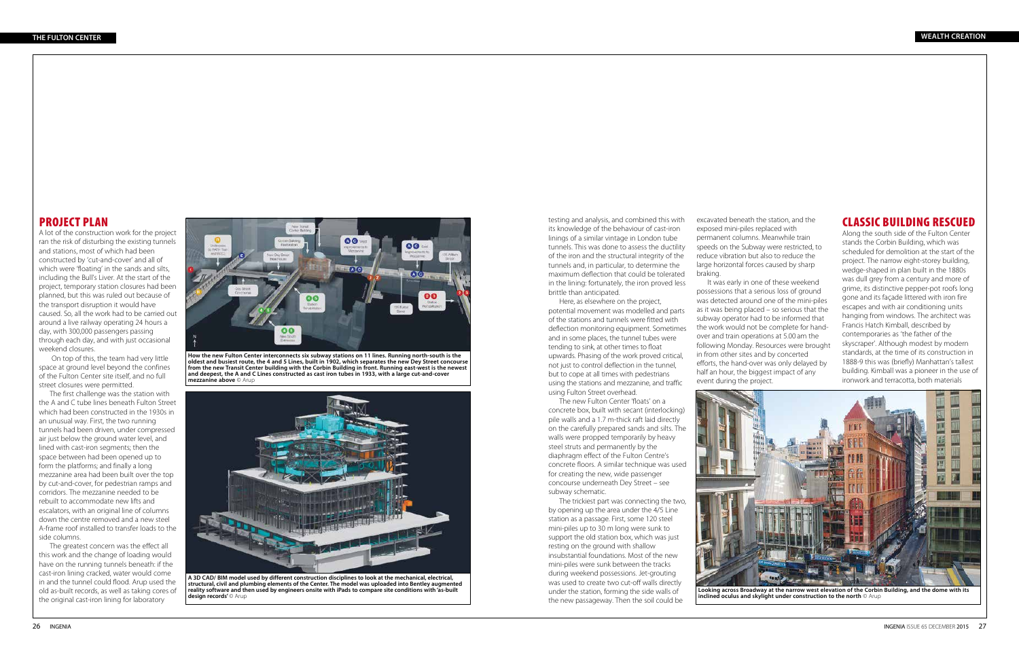testing and analysis, and combined this with its knowledge of the behaviour of cast-iron linings of a similar vintage in London tube tunnels. This was done to assess the ductility of the iron and the structural integrity of the tunnels and, in particular, to determine the maximum deflection that could be tolerated in the lining: fortunately, the iron proved less brittle than anticipated.

Here, as elsewhere on the project, potential movement was modelled and parts of the stations and tunnels were fitted with deflection monitoring equipment. Sometimes and in some places, the tunnel tubes were tending to sink, at other times to float upwards. Phasing of the work proved critical, not just to control deflection in the tunnel, but to cope at all times with pedestrians using the stations and mezzanine, and traffic using Fulton Street overhead.

The new Fulton Center 'floats' on a concrete box, built with secant (interlocking) pile walls and a 1.7 m-thick raft laid directly on the carefully prepared sands and silts. The walls were propped temporarily by heavy steel struts and permanently by the diaphragm effect of the Fulton Centre's concrete floors. A similar technique was used for creating the new, wide passenger concourse underneath Dey Street – see subway schematic.

The trickiest part was connecting the two, by opening up the area under the 4/5 Line station as a passage. First, some 120 steel mini-piles up to 30 m long were sunk to support the old station box, which was just resting on the ground with shallow insubstantial foundations. Most of the new mini-piles were sunk between the tracks during weekend possessions. Jet-grouting was used to create two cut-off walls directly under the station, forming the side walls of the new passageway. Then the soil could be

excavated beneath the station, and the exposed mini-piles replaced with permanent columns. Meanwhile train speeds on the Subway were restricted, to reduce vibration but also to reduce the large horizontal forces caused by sharp braking.

It was early in one of these weekend possessions that a serious loss of ground was detected around one of the mini-piles as it was being placed – so serious that the subway operator had to be informed that the work would not be complete for handover and train operations at 5.00 am the following Monday. Resources were brought in from other sites and by concerted efforts, the hand-over was only delayed by half an hour, the biggest impact of any event during the project.

## CLASSIC BUILDING RESCUED

Along the south side of the Fulton Center stands the Corbin Building, which was scheduled for demolition at the start of the project. The narrow eight-storey building, wedge-shaped in plan built in the 1880s was dull grey from a century and more of grime, its distinctive pepper-pot roofs long gone and its façade littered with iron fire escapes and with air conditioning units hanging from windows. The architect was Francis Hatch Kimball, described by contemporaries as 'the father of the skyscraper'. Although modest by modern standards, at the time of its construction in 1888-9 this was (briefly) Manhattan's tallest building. Kimball was a pioneer in the use of ironwork and terracotta, both materials



**Looking across Broadway at the narrow west elevation of the Corbin Building, and the dome with its inclined oculus and skylight under construction to the north** © Arup



**How the new Fulton Center interconnects six subway stations on 11 lines. Running north-south is the oldest and busiest route, the 4 and 5 Lines, built in 1902, which separates the new Dey Street concourse from the new Transit Center building with the Corbin Building in front. Running east-west is the newest and deepest, the A and C Lines constructed as cast iron tubes in 1933, with a large cut-and-cover mezzanine above** © Arup



**A 3D CAD/ BIM model used by different construction disciplines to look at the mechanical, electrical, structural, civil and plumbing elements of the Center. The model was uploaded into Bentley augmented reality software and then used by engineers onsite with iPads to compare site conditions with 'as-built design records'** © Arup

## PROJECT PLAN

A lot of the construction work for the project ran the risk of disturbing the existing tunnels and stations, most of which had been constructed by 'cut-and-cover' and all of which were 'floating' in the sands and silts, including the Bull's Liver. At the start of the project, temporary station closures had been planned, but this was ruled out because of the transport disruption it would have caused. So, all the work had to be carried out around a live railway operating 24 hours a day, with 300,000 passengers passing through each day, and with just occasional weekend closures.

 On top of this, the team had very little space at ground level beyond the confines of the Fulton Center site itself, and no full street closures were permitted.

The first challenge was the station with the A and C tube lines beneath Fulton Street which had been constructed in the 1930s in an unusual way. First, the two running tunnels had been driven, under compressed air just below the ground water level, and lined with cast-iron segments; then the space between had been opened up to form the platforms; and finally a long mezzanine area had been built over the top by cut-and-cover, for pedestrian ramps and corridors. The mezzanine needed to be rebuilt to accommodate new lifts and escalators, with an original line of columns down the centre removed and a new steel A-frame roof installed to transfer loads to the side columns.

The greatest concern was the effect all this work and the change of loading would have on the running tunnels beneath: if the cast-iron lining cracked, water would come in and the tunnel could flood. Arup used the old as-built records, as well as taking cores of the original cast-iron lining for laboratory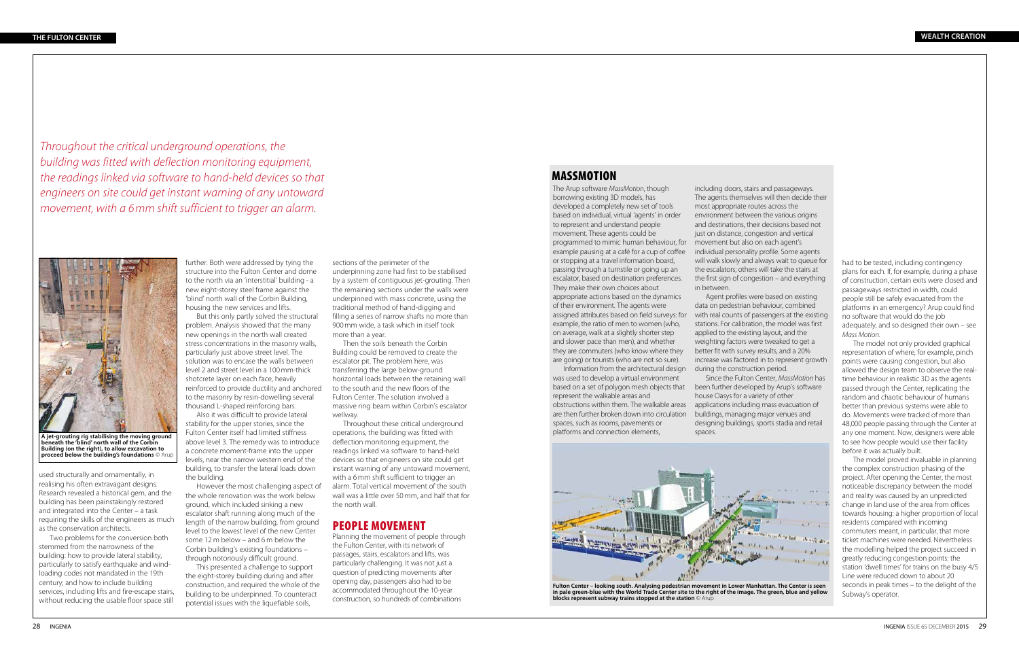further. Both were addressed by tying the structure into the Fulton Center and dome to the north via an 'interstitial' building - a new eight-storey steel frame against the 'blind' north wall of the Corbin Building, housing the new services and lifts.

But this only partly solved the structural problem. Analysis showed that the many new openings in the north wall created stress concentrations in the masonry walls, particularly just above street level. The solution was to encase the walls between level 2 and street level in a 100 mm-thick shotcrete layer on each face, heavily reinforced to provide ductility and anchored to the masonry by resin-dowelling several thousand L-shaped reinforcing bars.

Also it was difficult to provide lateral stability for the upper stories, since the Fulton Center itself had limited stiffness above level 3. The remedy was to introduce a concrete moment-frame into the upper levels, near the narrow western end of the building, to transfer the lateral loads down the building.

However the most challenging aspect of the whole renovation was the work below ground, which included sinking a new escalator shaft running along much of the length of the narrow building, from ground level to the lowest level of the new Center some 12 m below – and 6 m below the Corbin building's existing foundations – through notoriously difficult ground.

This presented a challenge to support the eight-storey building during and after construction, and required the whole of the building to be underpinned. To counteract potential issues with the liquefiable soils,

sections of the perimeter of the underpinning zone had first to be stabilised by a system of contiguous jet-grouting. Then the remaining sections under the walls were underpinned with mass concrete, using the traditional method of hand-digging and filling a series of narrow shafts no more than 900 mm wide, a task which in itself took more than a year.

Then the soils beneath the Corbin Building could be removed to create the escalator pit. The problem here, was transferring the large below-ground horizontal loads between the retaining wall to the south and the new floors of the Fulton Center. The solution involved a massive ring beam within Corbin's escalator wellway.

Throughout these critical underground operations, the building was fitted with deflection monitoring equipment, the readings linked via software to hand-held devices so that engineers on site could get instant warning of any untoward movement, with a 6 mm shift sufficient to trigger an alarm. Total vertical movement of the south wall was a little over 50 mm, and half that for the north wall.

## PEOPLE MOVEMENT

Planning the movement of people through the Fulton Center, with its network of passages, stairs, escalators and lifts, was particularly challenging. It was not just a question of predicting movements after opening day, passengers also had to be accommodated throughout the 10-year construction, so hundreds of combinations

had to be tested, including contingency plans for each. If, for example, during a phase of construction, certain exits were closed and passageways restricted in width, could people still be safely evacuated from the platforms in an emergency? Arup could find no software that would do the job adequately, and so designed their own – see *Mass Motion*.

The model not only provided graphical representation of where, for example, pinch points were causing congestion, but also allowed the design team to observe the realtime behaviour in realistic 3D as the agents passed through the Center, replicating the random and chaotic behaviour of humans better than previous systems were able to do. Movements were tracked of more than 48,000 people passing through the Center at any one moment. Now, designers were able to see how people would use their facility before it was actually built.

The model proved invaluable in planning the complex construction phasing of the project. After opening the Center, the most noticeable discrepancy between the model and reality was caused by an unpredicted change in land use of the area from offices towards housing: a higher proportion of local residents compared with incoming commuters meant, in particular, that more ticket machines were needed. Nevertheless the modelling helped the project succeed in greatly reducing congestion points: the station 'dwell times' for trains on the busy 4/5 Line were reduced down to about 20 seconds in peak times – to the delight of the Subway's operator.

used structurally and ornamentally, in realising his often extravagant designs. Research revealed a historical gem, and the building has been painstakingly restored and integrated into the Center – a task requiring the skills of the engineers as much as the conservation architects.

Two problems for the conversion both stemmed from the narrowness of the building: how to provide lateral stability, particularly to satisfy earthquake and windloading codes not mandated in the 19th century; and how to include building services, including lifts and fire-escape stairs, without reducing the usable floor space still



**A jet-grouting rig stabilising the moving ground beneath the 'blind' north wall of the Corbin Building (on the right), to allow excavation to proceed below the building's foundations** © Arup

*Throughout the critical underground operations, the building was fitted with deflection monitoring equipment, the readings linked via software to hand-held devices so that engineers on site could get instant warning of any untoward movement, with a 6 mm shift sufficient to trigger an alarm.* 

The Arup software *MassMotion*, though borrowing existing 3D models, has developed a completely new set of tools based on individual, virtual 'agents' in order to represent and understand people movement. These agents could be programmed to mimic human behaviour, for example pausing at a café for a cup of coffee or stopping at a travel information board, passing through a turnstile or going up an escalator, based on destination preferences. They make their own choices about appropriate actions based on the dynamics of their environment. The agents were assigned attributes based on field surveys: for example, the ratio of men to women (who, on average, walk at a slightly shorter step and slower pace than men), and whether they are commuters (who know where they are going) or tourists (who are not so sure).

Information from the architectural design was used to develop a virtual environment based on a set of polygon mesh objects that represent the walkable areas and obstructions within them. The walkable areas are then further broken down into circulation spaces, such as rooms, pavements or platforms and connection elements,

# MASSMOTION

including doors, stairs and passageways. The agents themselves will then decide their most appropriate routes across the environment between the various origins and destinations, their decisions based not just on distance, congestion and vertical movement but also on each agent's individual personality profile. Some agents will walk slowly and always wait to queue for the escalators; others will take the stairs at the first sign of congestion – and everything in between.

Agent profiles were based on existing data on pedestrian behaviour, combined with real counts of passengers at the existing stations. For calibration, the model was first applied to the existing layout, and the weighting factors were tweaked to get a better fit with survey results, and a 20% increase was factored in to represent growth during the construction period.

Since the Fulton Center, *MassMotion* has been further developed by Arup's software house Oasys for a variety of other applications including mass evacuation of buildings, managing major venues and designing buildings, sports stadia and retail spaces.



**Fulton Center – looking south. Analysing pedestrian movement in Lower Manhattan. The Center is seen in pale green-blue with the World Trade Center site to the right of the image. The green, blue and yellow blocks represent subway trains stopped at the station** © Arup